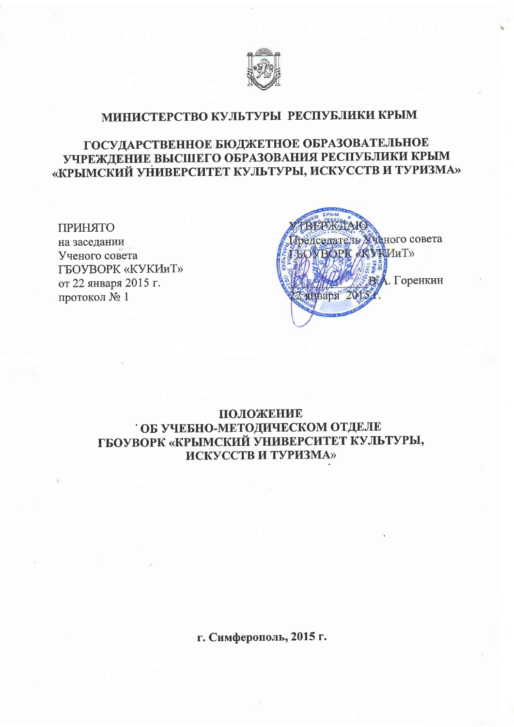

## МИНИСТЕРСТВО КУЛЬТУРЫ РЕСПУБЛИКИ КРЫМ

# ГОСУДАРСТВЕННОЕ БЮДЖЕТНОЕ ОБРАЗОВАТЕЛЬНОЕ УЧРЕЖДЕНИЕ ВЫСШЕГО ОБРАЗОВАНИЯ РЕСПУБЛИКИ КРЫМ «КРЫМСКИЙ УНИВЕРСИТЕТ КУЛЬТУРЫ, ИСКУССТВ И ТУРИЗМА»

### ПРИНЯТО

на заседании Ученого совета ГБОУВОРК «КУКИиТ» от 22 января 2015 г. протокол  $N<sub>2</sub>$  1



## ПОЛОЖЕНИЕ ОБ УЧЕБНО-МЕТОДИЧЕСКОМ ОТДЕЛЕ ГБОУВОРК «КРЫМСКИЙ УНИВЕРСИТЕТ КУЛЬТУРЫ, **ИСКУССТВ И ТУРИЗМА»**

г. Симферополь, 2015 г.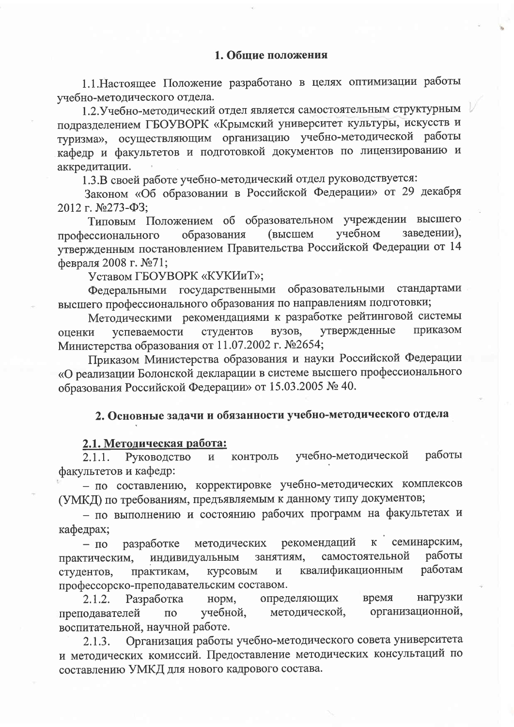1.1. Настоящее Положение разработано в целях оптимизации работы учебно-методического отдела.

1.2. Учебно-методический отдел является самостоятельным структурным подразделением ГБОУВОРК «Крымский университет культуры, искусств и туризма», осуществляющим организацию учебно-методической работы кафедр и факультетов и подготовкой документов по лицензированию и аккредитации.

1.3.В своей работе учебно-методический отдел руководствуется:

Законом «Об образовании в Российской Федерации» от 29 декабря 2012 г. №273-ФЗ;

Типовым Положением об образовательном учреждении высшего учебном заведении), образования **(высшем** профессионального утвержденным постановлением Правительства Российской Федерации от 14 февраля 2008 г. №71;

Уставом ГБОУВОРК «КУКИиТ»;

Федеральными государственными образовательными стандартами высшего профессионального образования по направлениям подготовки;

Методическими рекомендациями к разработке рейтинговой системы утвержденные приказом вузов, успеваемости студентов оценки Министерства образования от 11.07.2002 г. №2654;

Приказом Министерства образования и науки Российской Федерации «О реализации Болонской декларации в системе высшего профессионального образования Российской Федерации» от 15.03.2005 № 40.

# 2. Основные задачи и обязанности учебно-методического отдела

### 2.1. Методическая работа:

учебно-методической работы 2.1.1. Руководство  $\, {\bf N}$ контроль факультетов и кафедр:

- по составлению, корректировке учебно-методических комплексов (УМКД) по требованиям, предъявляемым к данному типу документов;

- по выполнению и состоянию рабочих программ на факультетах и кафедрах;

семинарским, рекомендаций  $\bf K$ разработке методических  $- \Pi$ o работы самостоятельной индивидуальным занятиям, практическим, работам квалификационным практикам,  $\mathbf H$ студентов. курсовым профессорско-преподавательским составом.

нагрузки время 2.1.2. Разработка норм, определяющих организационной, методической, преподавателей учебной, ПО воспитательной, научной работе.

Организация работы учебно-методического совета университета  $2.1.3.$ и методических комиссий. Предоставление методических консультаций по составлению УМКД для нового кадрового состава.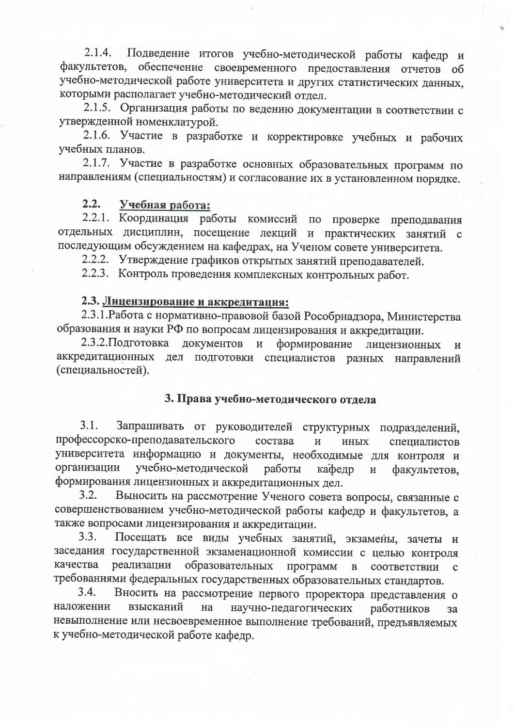Подведение итогов учебно-методической работы кафедр и  $2.1.4.$ факультетов, обеспечение своевременного предоставления отчетов об учебно-методической работе университета и других статистических данных, которыми располагает учебно-методический отдел.

2.1.5. Организация работы по ведению документации в соответствии с утвержденной номенклатурой.

2.1.6. Участие в разработке и корректировке учебных и рабочих учебных планов.

2.1.7. Участие в разработке основных образовательных программ по направлениям (специальностям) и согласование их в установленном порядке.

#### $2.2.$ Учебная работа:

2.2.1. Координация работы комиссий по проверке преподавания отдельных дисциплин, посещение лекций и практических занятий с последующим обсуждением на кафедрах, на Ученом совете университета.

2.2.2. Утверждение графиков открытых занятий преподавателей.

2.2.3. Контроль проведения комплексных контрольных работ.

## 2.3. Лицензирование и аккредитация:

2.3.1. Работа с нормативно-правовой базой Рособрнадзора, Министерства образования и науки РФ по вопросам лицензирования и аккредитации.

2.3.2. Подготовка документов  $\mathbf{H}$ формирование лицензионных  $\mathbf H$ аккредитационных дел подготовки специалистов разных направлений (специальностей).

# 3. Права учебно-методического отдела

Запрашивать от руководителей структурных подразделений,  $3.1.$ профессорско-преподавательского состава  $\overline{M}$ ИНЫХ специалистов университета информацию и документы, необходимые для контроля и организации учебно-методической работы кафедр  $\overline{M}$ факультетов. формирования лицензионных и аккредитационных дел.

Выносить на рассмотрение Ученого совета вопросы, связанные с  $3.2.$ совершенствованием учебно-методической работы кафедр и факультетов, а также вопросами лицензирования и аккредитации.

Посещать все виды учебных занятий, экзамены, зачеты и  $3.3.$ заседания государственной экзаменационной комиссии с целью контроля образовательных качества реализации программ  $\mathbf{B}$ соответствии  $\mathbf{C}$ требованиями федеральных государственных образовательных стандартов.

Вносить на рассмотрение первого проректора представления о  $3.4.$ наложении взысканий на научно-педагогических работников за невыполнение или несвоевременное выполнение требований, предъявляемых к учебно-методической работе кафедр.